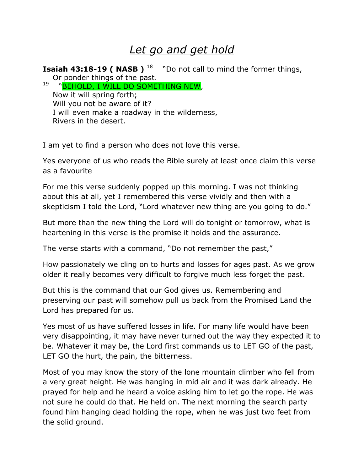## *Let go and get hold*

**Isaiah 43:18-19 ( NASB )** <sup>18</sup> "Do not call to mind the former things, Or ponder things of the past.

19 "BEHOLD, I WILL DO SOMETHING NEW, Now it will spring forth; Will you not be aware of it? I will even make a roadway in the wilderness, Rivers in the desert.

I am yet to find a person who does not love this verse.

Yes everyone of us who reads the Bible surely at least once claim this verse as a favourite

For me this verse suddenly popped up this morning. I was not thinking about this at all, yet I remembered this verse vividly and then with a skepticism I told the Lord, "Lord whatever new thing are you going to do."

But more than the new thing the Lord will do tonight or tomorrow, what is heartening in this verse is the promise it holds and the assurance.

The verse starts with a command, "Do not remember the past,"

How passionately we cling on to hurts and losses for ages past. As we grow older it really becomes very difficult to forgive much less forget the past.

But this is the command that our God gives us. Remembering and preserving our past will somehow pull us back from the Promised Land the Lord has prepared for us.

Yes most of us have suffered losses in life. For many life would have been very disappointing, it may have never turned out the way they expected it to be. Whatever it may be, the Lord first commands us to LET GO of the past, LET GO the hurt, the pain, the bitterness.

Most of you may know the story of the lone mountain climber who fell from a very great height. He was hanging in mid air and it was dark already. He prayed for help and he heard a voice asking him to let go the rope. He was not sure he could do that. He held on. The next morning the search party found him hanging dead holding the rope, when he was just two feet from the solid ground.